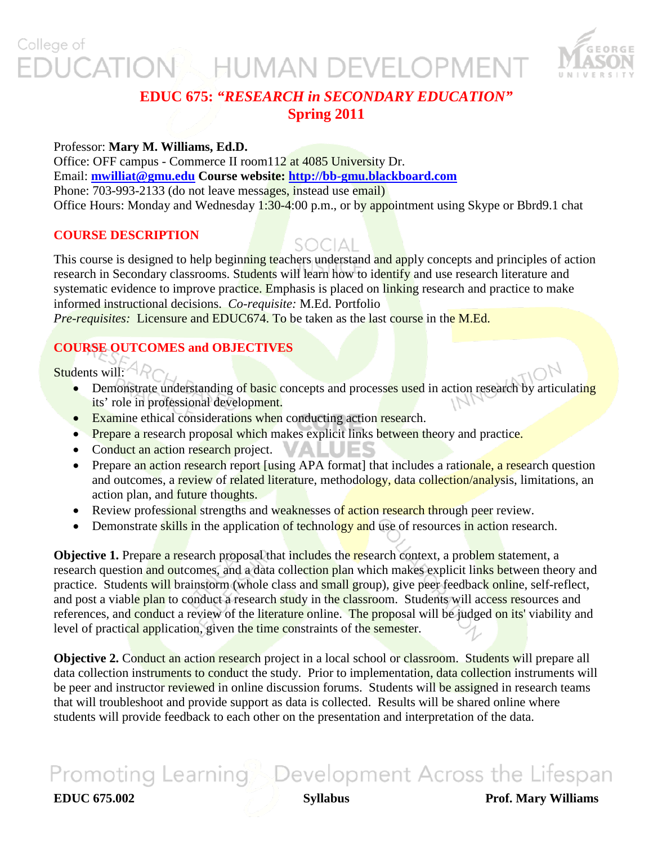### College of **UCATION & HUMAN DEVELOPMENT**



### **EDUC 675:** *"RESEARCH in SECONDARY EDUCATION"* **Spring 2011**

### Professor: **Mary M. Williams, Ed.D.**

Office: OFF campus - Commerce II room112 at 4085 University Dr. Email: **[mwilliat@gmu.edu](mailto:mwilliat@gmu.edu) Course website: [http://bb-gmu.blackboard.com](http://bb-gmu.blackboard.com/)** Phone: 703-993-2133 (do not leave messages, instead use email) Office Hours: Monday and Wednesday 1:30-4:00 p.m., or by appointment using Skype or Bbrd9.1 chat

### **COURSE DESCRIPTION**

SOCIAL

This course is designed to help beginning teachers understand and apply concepts and principles of action research in Secondary classrooms. Students will learn how to identify and use research literature and systematic evidence to improve practice. Emphasis is placed on linking research and practice to make informed instructional decisions. *Co-requisite:* M.Ed. Portfolio *Pre-requisites:* Licensure and EDUC674. To be taken as the last course in the M.Ed.

### **COURSE OUTCOMES and OBJECTIVES**

Students will:  $AP_{CL}$ 

- Demonstrate understanding of basic concepts and processes used in action research by articulating its' role in professional development.
- Examine ethical considerations when conducting action research.
- Prepare a research proposal which makes explicit links between theory and practice.
- Conduct an action research project.
- Prepare an action research report [using APA format] that includes a rationale, a research question and outcomes, a review of related literature, methodology, data collection/analysis, limitations, an action plan, and future thoughts.
- Review professional strengths and weaknesses of action research through peer review.
- Demonstrate skills in the application of technology and use of resources in action research.

**Objective 1.** Prepare a research proposal that includes the research context, a problem statement, a research question and outcomes, and a data collection plan which makes explicit links between theory and practice. Students will brainstorm (whole class and small group), give peer feedback online, self-reflect, and post a viable plan to conduct a research study in the classroom. Students will access resources and references, and conduct a review of the literature online. The proposal will be judged on its' viability and level of practical application, given the time constraints of the semester.

**Objective 2. Conduct an action research** project in a local school or **classroom.** Students will prepare all data collection instruments to conduct the study. Prior to implementation, data collection instruments will be peer and instructor reviewed in online discussion forums. Students will be assigned in research teams that will troubleshoot and provide support as data is collected. Results will be shared online where students will provide feedback to each other on the presentation and interpretation of the data.

# Promoting Learning Development Across the Lifespan

**EDUC 675.002 Syllabus Prof. Mary Williams**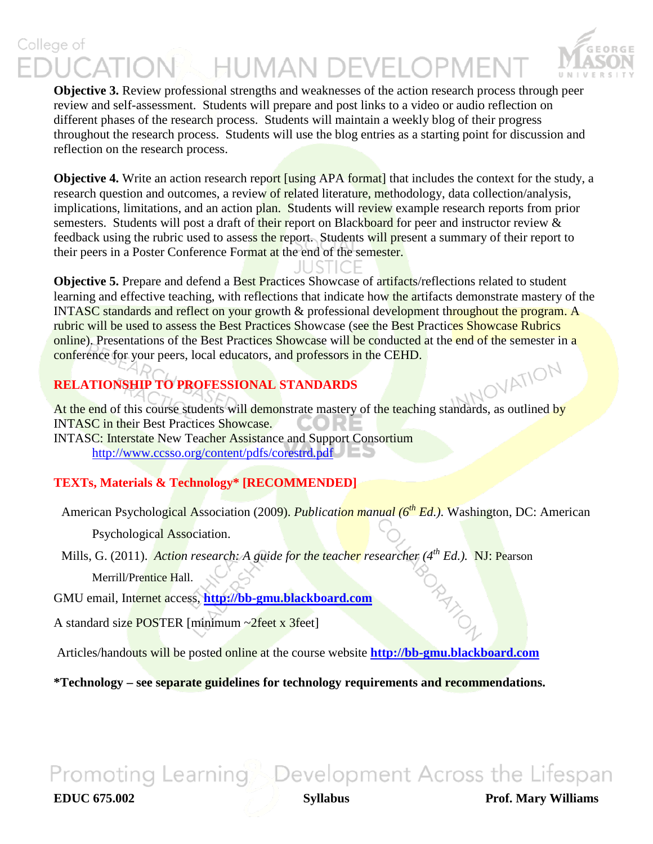### College of **K HUMAN DEVELOPMEI**



**Objective 3.** Review professional strengths and weaknesses of the action research process through peer review and self-assessment. Students will prepare and post links to a video or audio reflection on different phases of the research process. Students will maintain a weekly blog of their progress throughout the research process. Students will use the blog entries as a starting point for discussion and reflection on the research process.

**Objective 4.** Write an action research report *[using APA format]* that includes the context for the study, a research question and outcomes, a review of related literature, methodology, data collection/analysis, implications, limitations, and an action plan. Students will review example research reports from prior semesters. Students will post a draft of their report on Blackboard for peer and instructor review & feedback using the rubric used to assess the report. Students will present a summary of their report to their peers in a Poster Conference Format at the end of the semester.

 $\vert \vert$  (  $\vert$   $\vert$   $\vert$ 

**Objective 5.** Prepare and defend a Best Practices Showcase of artifacts/reflections related to student learning and effective teaching, with reflections that indicate how the artifacts demonstrate mastery of the INTASC standards and reflect on your growth & professional development throughout the program. A rubric will be used to assess the Best Practices Showcase (see the Best Practices Showcase Rubrics online). Presentations of the Best Practices Showcase will be conducted at the end of the semester in a conference for your peers, local educators, and professors in the CEHD.

### **RELATIONSHIP TO PROFESSIONAL STANDARDS**

ALA TRIMIT TO PROFESSIONAL STANDARDS<br>At the end of this course students will demonstrate mastery of the teaching standards, as outlined by INTASC in their Best Practices Showcase.

[INTASC: Interstate New Teacher Assistance and Support Consortium](http://www.ccsso.org/content/pdfs/corestrd.pdf) <http://www.ccsso.org/content/pdfs/corestrd.pdf>

### **TEXTs, Materials & Technology\* [RECOMMENDED]**

American Psychological Association (2009). *Publication manual (6th Ed.)*. Washington, DC: American

Psychological Association.

Mills, G. (2011). *Action research: A guide for the teacher researcher (4<sup>th</sup> Ed.).* NJ: Pearson

Merrill/Prentice Hall.

GMU email, Internet access, **[http://bb-gmu.blackboard.com](http://bb-gmu.blackboard.com/)**

A standard size POSTER [minimum ~2feet x 3feet]

Articles/handouts will be posted online at the course website **[http://bb-gmu.blackboard.com](http://bb-gmu.blackboard.com/)**

**\*Technology – see separate guidelines for technology requirements and recommendations.**

# Promoting Learning Development Across the Lifespan

**EDUC 675.002 Syllabus Prof. Mary Williams**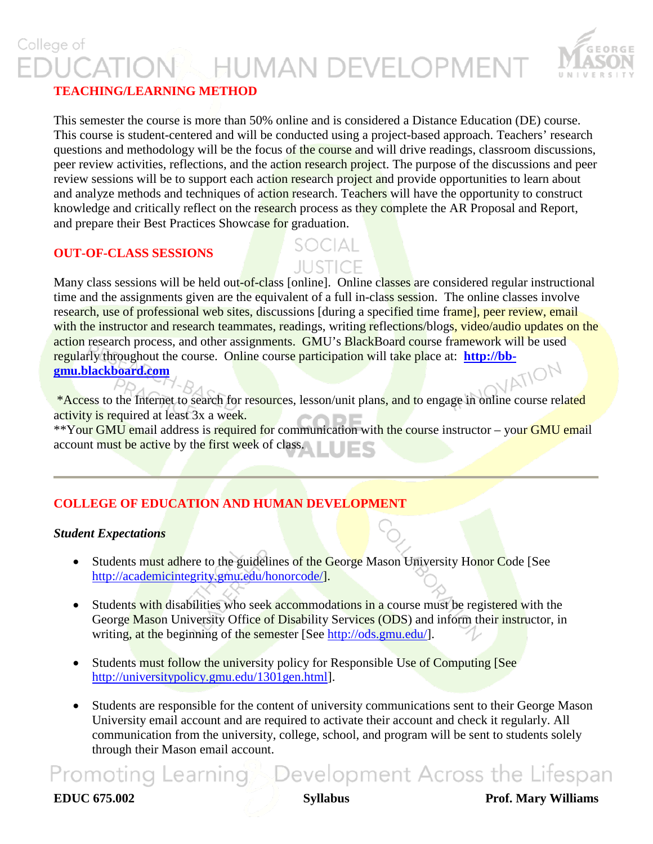## College of **HUMAN DEVELOPMENT**



### **TEACHING/LEARNING METHOD**

This semester the course is more than 50% online and is considered a Distance Education (DE) course. This course is student-centered and will be conducted using a project-based approach. Teachers' research questions and methodology will be the focus of the course and will drive readings, classroom discussions, peer review activities, reflections, and the action research project. The purpose of the discussions and peer review sessions will be to support each action research project and provide opportunities to learn about and analyze methods and techniques of action research. Teachers will have the opportunity to construct knowledge and critically reflect on the research process as they complete the AR Proposal and Report, and prepare their Best Practices Showcase for graduation.

### **OUT-OF-CLASS SESSIONS**

# JUSTICE

Many class sessions will be held out-of-class [online]. Online classes are considered regular instructional time and the assignments given are the equivalent of a full in-class session. The online classes involve research, use of professional web sites, discussions [during a specified time frame], peer review, email with the instructor and research teammates, readings, writing reflections/blogs, video/audio updates on the action research process, and other assignments. GMU's BlackBoard course framework will be used regularly throughout the course. Online course participation will take place at: **http://bb-**<br>**gmu.blackboard.com [gmu.blackboard.com](http://bb-gmu.blackboard.com/)**

\*Access to the Internet to search for resources, lesson/unit plans, and to engage in online course related activity is required at least 3x a week.

\*\*Your GMU email address is required for communication with the course instructor – your GMU email account must be active by the first week of class.

### **COLLEGE OF EDUCATION AND HUMAN DEVELOPMENT**

### *Student Expectations*

- Students must adhere to the guidelines of the George Mason University Honor Code [See [http://academicintegrity.gmu.edu/honorcode/\]](http://academicintegrity.gmu.edu/honorcode/).
- Students with disabilities who seek accommodations in a course must be registered with the George Mason University Office of Disability Services (ODS) and inform their instructor, in writing, at the beginning of the semester [See [http://ods.gmu.edu/\]](http://ods.gmu.edu/).
- Students must follow the university policy for Responsible Use of Computing [See [http://universitypolicy.gmu.edu/1301gen.html\]](http://universitypolicy.gmu.edu/1301gen.html).
- Students are responsible for the content of university communications sent to their George Mason University email account and are required to activate their account and check it regularly. All communication from the university, college, school, and program will be sent to students solely through their Mason email account.

## Promoting Learning Development Across the Lifespan

**EDUC 675.002 Syllabus Prof. Mary Williams**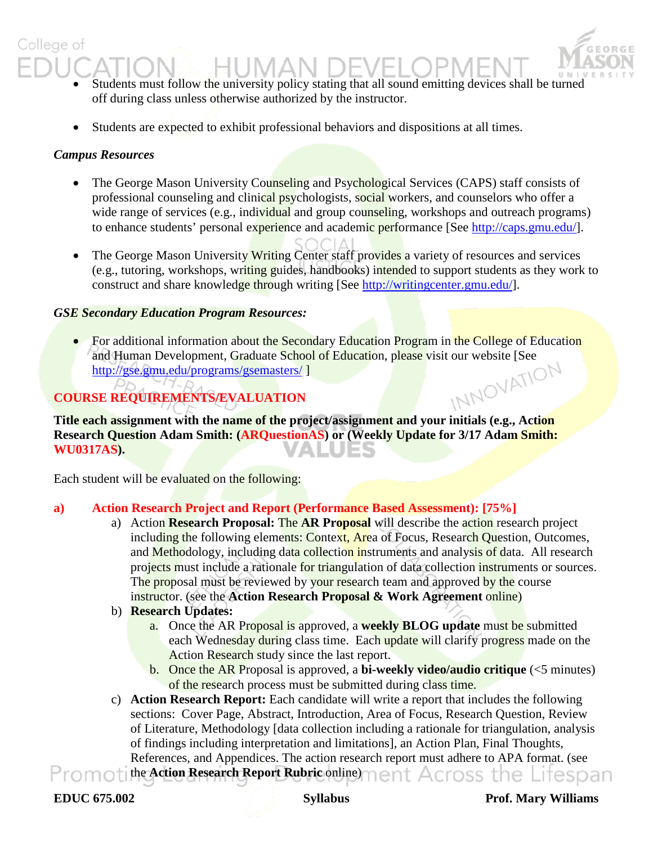### Students must follow the university policy stating that all sound emitting devices shall be turned off during class unless otherwise authorized by the instructor.

• Students are expected to exhibit professional behaviors and dispositions at all times.

### *Campus Resources*

College of

- The George Mason University Counseling and Psychological Services (CAPS) staff consists of professional counseling and clinical psychologists, social workers, and counselors who offer a wide range of services (e.g., individual and group counseling, workshops and outreach programs) to enhance students' personal experience and academic performance [See [http://caps.gmu.edu/\]](http://caps.gmu.edu/).
- The George Mason University Writing Center staff provides a variety of resources and services (e.g., tutoring, workshops, writing guides, handbooks) intended to support students as they work to construct and share knowledge through writing [See [http://writingcenter.gmu.edu/\]](http://writingcenter.gmu.edu/).

### *GSE Secondary Education Program Resources:*

• For additional information about the Secondary Education Program in the College of Education and Human Development, Graduate School of Education, please visit our website [See http://gse.gmu.edu/programs/gsemasters/]<br>SE REQUIREMENTS/EVALUATION <http://gse.gmu.edu/programs/gsemasters/> ] 'N-D

### **COURSE REQUIREMENTS/EVALUATION**

**Title each assignment with the name of the project/assignment and your initials (e.g., Action Research Question Adam Smith: (ARQuestionAS) or (Weekly Update for 3/17 Adam Smith: WU0317AS).** 

Each student will be evaluated on the following:

### **a) Action Research Project and Report (Performance Based Assessment): [75%]**

- a) Action **Research Proposal:** The **AR Proposal** will describe the action research project including the following elements: Context, Area of Focus, Research Question, Outcomes, and Methodology, including data collection instruments and analysis of data. All research projects must include a rationale for triangulation of data collection instruments or sources. The proposal must be reviewed by your research team and approved by the course instructor. (see the **Action Research Proposal & Work Agreement** online)
- b) **Research Updates:**
	- a. Once the AR Proposal is approved, a **weekly BLOG update** must be submitted each Wednesday during class time. Each update will clarify progress made on the Action Research study since the last report.
	- b. Once the AR Proposal is approved, a **bi-weekly video/audio critique** (<5 minutes) of the research process must be submitted during class time.

c) **Action Research Report:** Each candidate will write a report that includes the following sections: Cover Page, Abstract, Introduction, Area of Focus, Research Question, Review of Literature, Methodology [data collection including a rationale for triangulation, analysis of findings including interpretation and limitations], an Action Plan, Final Thoughts, References, and Appendices. The action research report must adhere to APA format. (see the **Action Research Report Rubric** online)Promoti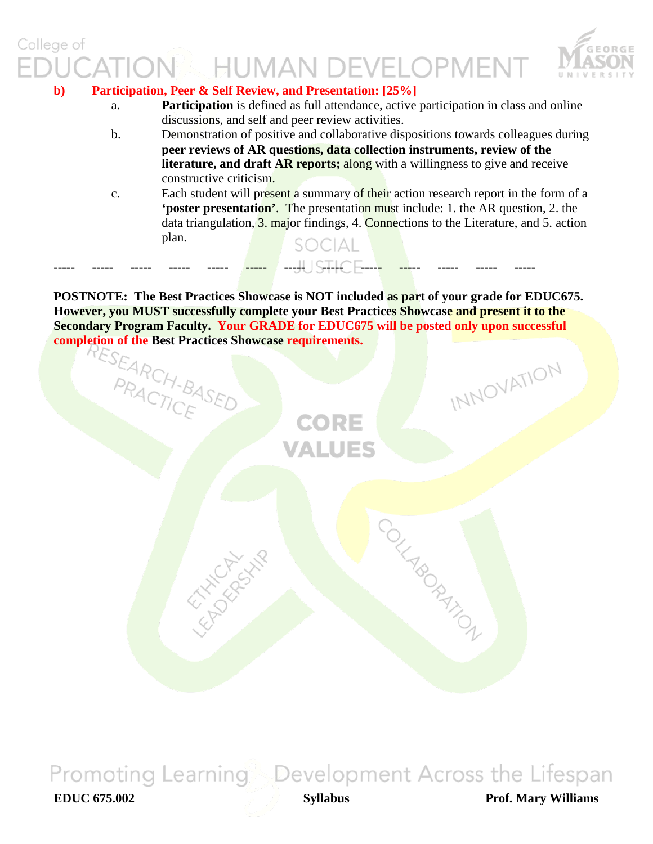## College of **HUMAN DEVELOPMENT**



### **b) Participation, Peer & Self Review, and Presentation: [25%]**

**HATCHLINE** 

- a. **Participation** is defined as full attendance, active participation in class and online discussions, and self and peer review activities.
- b. Demonstration of positive and collaborative dispositions towards colleagues during **peer reviews of AR questions, data collection instruments, review of the literature, and draft AR reports;** along with a willingness to give and receive constructive criticism.
- c. Each student will present a summary of their action research report in the form of a **'poster presentation'**. The presentation must include: 1. the AR question, 2. the data triangulation, 3. major findings, 4. Connections to the Literature, and 5. action plan. SOCIAL

**POSTNOTE: The Best Practices Showcase is NOT included as part of your grade for EDUC675. However, you MUST successfully complete your Best Practices Showcase and present it to the Secondary Program Faculty. Your GRADE for EDUC675 will be posted only upon successful completion of the Best Practices Showcase requirements.**<br>ESEARCH-BASED<br>CORE

CORE

**/ALUES** 

**----- ----- ----- ----- ----- ----- ----- ----- ----- ----- ----- ----- -----**



INNOVATION

COLLABORATION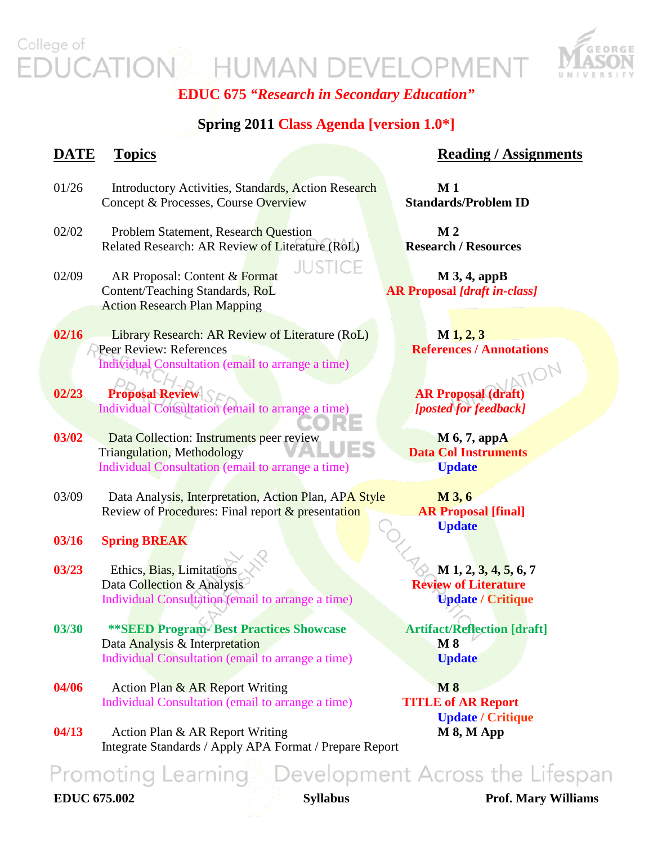### College of **EXAMPLE HUMAN DEVELOPMENT** CATION



**EDUC 675** *"Research in Secondary Education"*

### **Spring 2011 Class Agenda [version 1.0\*]**

**IUSTICE** 

### **DATE** Topics Reading / Assignments

- 01/26 Introductory Activities, Standards, Action Research **M 1** Concept & Processes, Course Overview **Standards/Problem ID**
- 02/02 Problem Statement, Research Question **M 2** Related Research: AR Review of Literature (RoL) **Research / Resources**
- 02/09 AR Proposal: Content  $\&$  Format **M** 3, 4, appB Content/Teaching Standards, RoL **AR Proposal** *[draft in-class]* Action Research Plan Mapping
- **02/16** Library Research: AR Review of Literature (RoL) **M** 1, 2, 3 **Peer Review: References References References References References References References References References References References References References References References References** Individual Consultation (email to arrange a time)
- **02/23 Proposal Review AR Proposal (draft)**<br>Individual Consultation (email to arrange a time) [posted for feedback] Individual Consultation (email to arrange a time)
- **03/02** Data Collection: Instruments peer review **M 6, 7, appA**  Triangulation, Methodology **Data Col Instruments** Individual Consultation (email to arrange a time) **Update**
- 03/09 Data Analysis, Interpretation, Action Plan, APA Style **M 3, 6** Review of Procedures: Final report & presentation **AR Proposal [final]**
- **03/16 Spring BREAK**
- **03/23** Ethics, Bias, Limitations **M 1, 2, 3, 4, 5, 6, 7 Data Collection & Analysis <b>Review of Literature** Individual Consultation (email to arrange a time) **Update / Critique**
- **03/30 \*\*SEED Program- Best Practices Showcase Artifact/Reflection [draft]** Data Analysis & Interpretation **M 8 M 8** *Individual Consultation (email to arrange a time)* **Update**
- **04/06** Action Plan & AR Report Writing M 8 Individual Consultation (email to arrange a time) **TITLE of AR Report**
- **04/13** Action Plan & AR Report Writing **M 8, M App** Integrate Standards / Apply APA Format / Prepare Report

 **Update**

 **Update / Critique**

### **Promoting Learning** Development Across the Lifespan **EDUC 675.002 Syllabus Prof. Mary Williams**